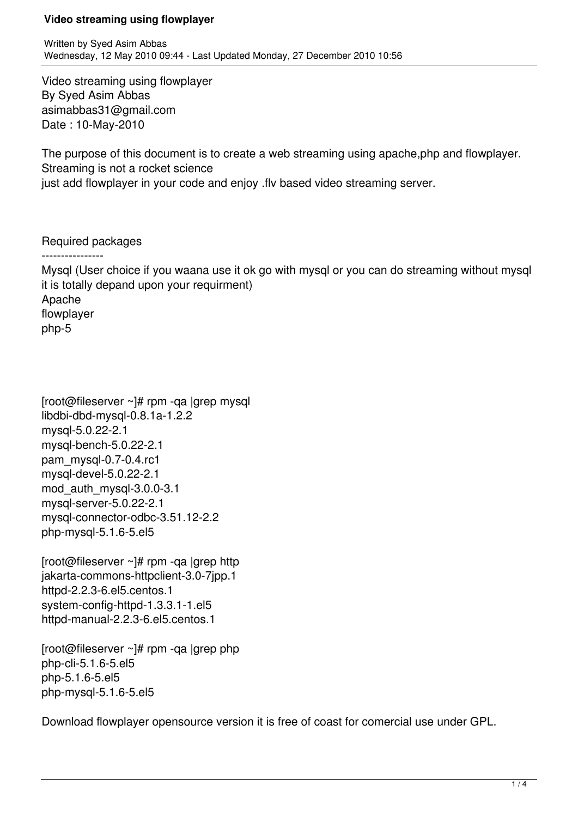Video streaming using flowplayer By Syed Asim Abbas asimabbas31@gmail.com Date : 10-May-2010

The purpose of this document is to create a web streaming using apache,php and flowplayer. Streaming is not a rocket science

just add flowplayer in your code and enjoy .flv based video streaming server.

Required packages

----------------

Mysql (User choice if you waana use it ok go with mysql or you can do streaming without mysql it is totally depand upon your requirment) Apache flowplayer php-5

[root@fileserver ~]# rpm -qa |grep mysql libdbi-dbd-mysql-0.8.1a-1.2.2 mysql-5.0.22-2.1 mysql-bench-5.0.22-2.1 pam\_mysql-0.7-0.4.rc1 mysql-devel-5.0.22-2.1 mod\_auth\_mysql-3.0.0-3.1 mysql-server-5.0.22-2.1 mysql-connector-odbc-3.51.12-2.2 php-mysql-5.1.6-5.el5

[root@fileserver ~]# rpm -qa |grep http jakarta-commons-httpclient-3.0-7jpp.1 httpd-2.2.3-6.el5.centos.1 system-config-httpd-1.3.3.1-1.el5 httpd-manual-2.2.3-6.el5.centos.1

[root@fileserver  $\sim$ ]# rpm -qa |grep php php-cli-5.1.6-5.el5 php-5.1.6-5.el5 php-mysql-5.1.6-5.el5

Download flowplayer opensource version it is free of coast for comercial use under GPL.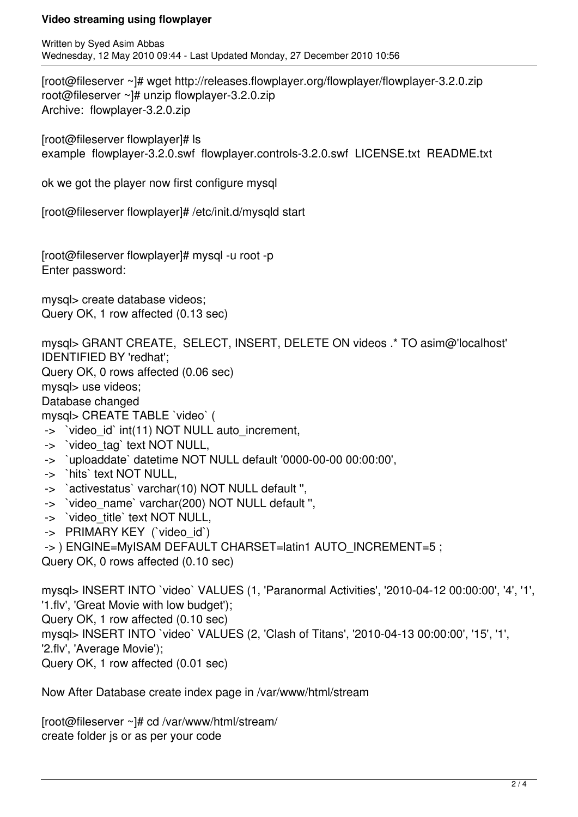Written by Syed Asim Abbas Wednesday, 12 May 2010 09:44 - Last Updated Monday, 27 December 2010 10:56

[root@fileserver ~]# wget http://releases.flowplayer.org/flowplayer/flowplayer-3.2.0.zip root@fileserver ~]# unzip flowplayer-3.2.0.zip Archive: flowplayer-3.2.0.zip

[root@fileserver flowplayer]# ls example flowplayer-3.2.0.swf flowplayer.controls-3.2.0.swf LICENSE.txt README.txt

ok we got the player now first configure mysql

[root@fileserver flowplayer]# /etc/init.d/mysqld start

[root@fileserver flowplayer]# mysql -u root -p Enter password:

mysql> create database videos; Query OK, 1 row affected (0.13 sec)

mysql> GRANT CREATE, SELECT, INSERT, DELETE ON videos .\* TO asim@'localhost' IDENTIFIED BY 'redhat'; Query OK, 0 rows affected (0.06 sec) mysql> use videos;

Database changed

mysql> CREATE TABLE `video` (

- -> 
`video id` int(11) NOT NULL auto increment,
- -> 'video tag' text NOT NULL,
- -> `uploaddate` datetime NOT NULL default '0000-00-00 00:00:00',
- -> `hits` text NOT NULL,
- -> `activestatus` varchar(10) NOT NULL default ",
- -> 'video name' varchar(200) NOT NULL default ",
- -> 'video\_title' text NOT NULL,
- -> PRIMARY KEY ('video id')
- -> ) ENGINE=MyISAM DEFAULT CHARSET=latin1 AUTO\_INCREMENT=5 ;

Query OK, 0 rows affected (0.10 sec)

mysql> INSERT INTO `video` VALUES (1, 'Paranormal Activities', '2010-04-12 00:00:00', '4', '1', '1.flv', 'Great Movie with low budget'); Query OK, 1 row affected (0.10 sec) mysql> INSERT INTO `video` VALUES (2, 'Clash of Titans', '2010-04-13 00:00:00', '15', '1', '2.flv', 'Average Movie'); Query OK, 1 row affected (0.01 sec)

Now After Database create index page in /var/www/html/stream

[root@fileserver ~]# cd /var/www/html/stream/ create folder js or as per your code